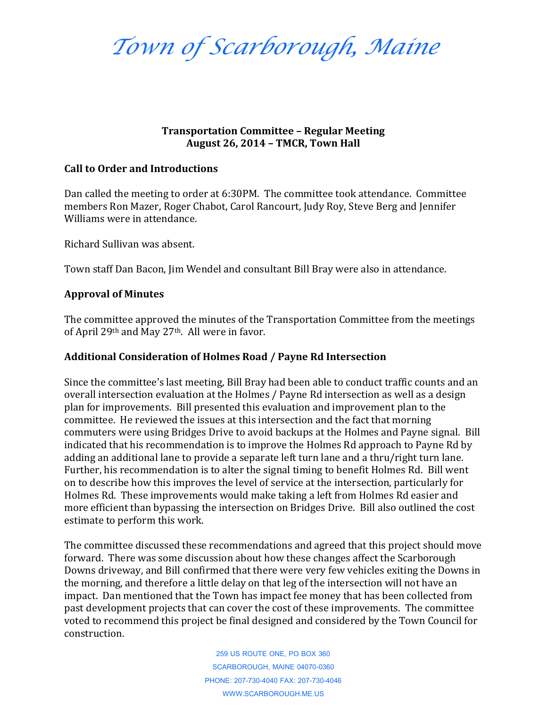*Town of Scarborough, Maine*

### **Transportation Committee – Regular Meeting August 26, 2014 – TMCR, Town Hall**

### **Call to Order and Introductions**

Dan called the meeting to order at 6:30PM. The committee took attendance. Committee members Ron Mazer, Roger Chabot, Carol Rancourt, Judy Roy, Steve Berg and Jennifer Williams were in attendance.

Richard Sullivan was absent.

Town staff Dan Bacon, Jim Wendel and consultant Bill Bray were also in attendance.

## **Approval of Minutes**

The committee approved the minutes of the Transportation Committee from the meetings of April 29th and May 27th. All were in favor.

### **Additional Consideration of Holmes Road / Payne Rd Intersection**

Since the committee's last meeting, Bill Bray had been able to conduct traffic counts and an overall intersection evaluation at the Holmes / Payne Rd intersection as well as a design plan for improvements. Bill presented this evaluation and improvement plan to the committee. He reviewed the issues at this intersection and the fact that morning commuters were using Bridges Drive to avoid backups at the Holmes and Payne signal. Bill indicated that his recommendation is to improve the Holmes Rd approach to Payne Rd by adding an additional lane to provide a separate left turn lane and a thru/right turn lane. Further, his recommendation is to alter the signal timing to benefit Holmes Rd. Bill went on to describe how this improves the level of service at the intersection, particularly for Holmes Rd. These improvements would make taking a left from Holmes Rd easier and more efficient than bypassing the intersection on Bridges Drive. Bill also outlined the cost estimate to perform this work.

The committee discussed these recommendations and agreed that this project should move forward. There was some discussion about how these changes affect the Scarborough Downs driveway, and Bill confirmed that there were very few vehicles exiting the Downs in the morning, and therefore a little delay on that leg of the intersection will not have an impact. Dan mentioned that the Town has impact fee money that has been collected from past development projects that can cover the cost of these improvements. The committee voted to recommend this project be final designed and considered by the Town Council for construction.

> 259 US ROUTE ONE, PO BOX 360 SCARBOROUGH, MAINE 04070-0360 PHONE: 207-730-4040 FAX: 207-730-4046 WWW.SCARBOROUGH.ME.US